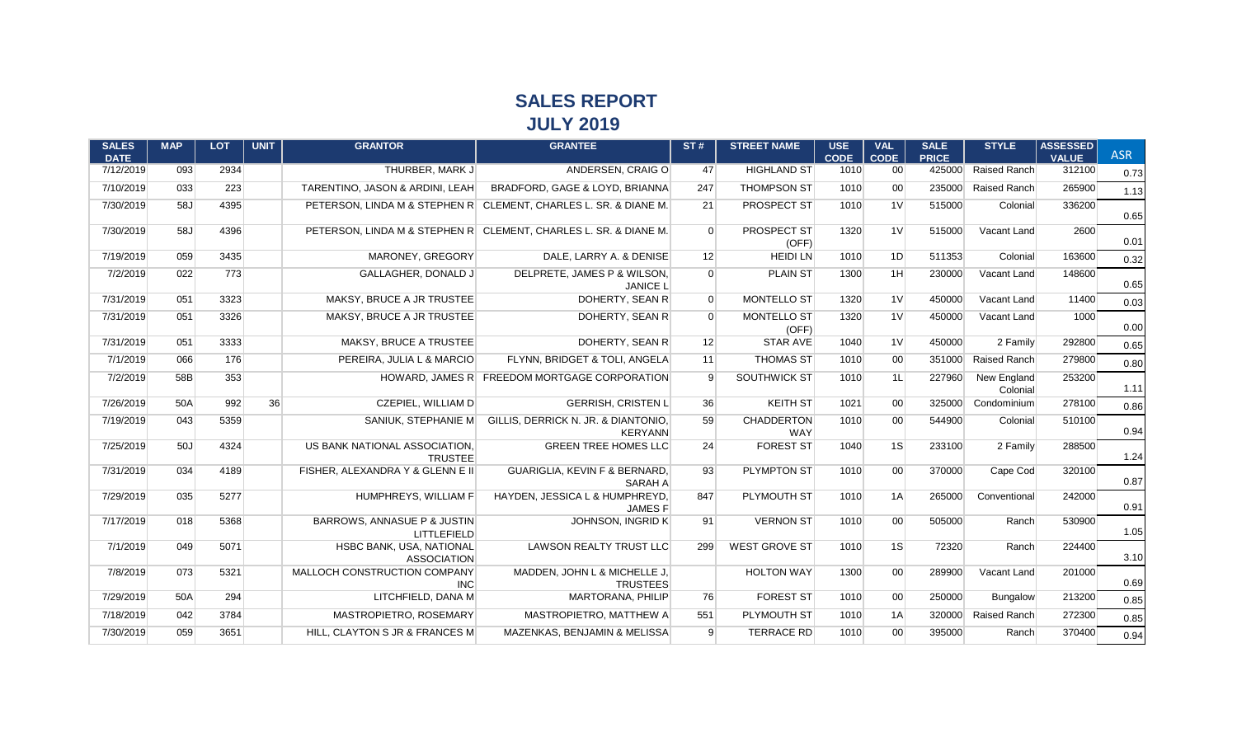## **SALES REPORT JULY 2019**

| <b>SALES</b><br><b>DATE</b> | <b>MAP</b> | <b>LOT</b> | <b>UNIT</b> | <b>GRANTOR</b>                                    | <b>GRANTEE</b>                                                   | ST#            | <b>STREET NAME</b>       | <b>USE</b><br><b>CODE</b> | <b>VAL</b><br><b>CODE</b> | <b>SALE</b><br><b>PRICE</b> | <b>STYLE</b>            | <b>ASSESSED</b><br><b>VALUE</b> | <b>ASR</b> |
|-----------------------------|------------|------------|-------------|---------------------------------------------------|------------------------------------------------------------------|----------------|--------------------------|---------------------------|---------------------------|-----------------------------|-------------------------|---------------------------------|------------|
| 7/12/2019                   | 093        | 2934       |             | THURBER, MARK J                                   | ANDERSEN, CRAIG O                                                | 47             | <b>HIGHLAND ST</b>       | 1010                      | 00 <sup>1</sup>           | 425000                      | Raised Ranch            | 312100                          | 0.73       |
| 7/10/2019                   | 033        | 223        |             | TARENTINO, JASON & ARDINI, LEAH                   | BRADFORD, GAGE & LOYD, BRIANNA                                   | 247            | <b>THOMPSON ST</b>       | 1010                      | 00 <sup>1</sup>           | 235000                      | Raised Ranch            | 265900                          | 1.13       |
| 7/30/2019                   | 58J        | 4395       |             |                                                   | PETERSON, LINDA M & STEPHEN R CLEMENT, CHARLES L. SR. & DIANE M. | 21             | PROSPECT ST              | 1010                      | 1 <sup>V</sup>            | 515000                      | Colonial                | 336200                          | 0.65       |
| 7/30/2019                   | 58J        | 4396       |             |                                                   | PETERSON, LINDA M & STEPHEN R CLEMENT, CHARLES L. SR. & DIANE M. | $\overline{0}$ | PROSPECT ST<br>(OFF)     | 1320                      | 1 <sup>V</sup>            | 515000                      | Vacant Land             | 2600                            | 0.01       |
| 7/19/2019                   | 059        | 3435       |             | MARONEY, GREGORY                                  | DALE, LARRY A. & DENISE                                          | 12             | <b>HEIDI LN</b>          | 1010                      | 1D                        | 511353                      | Colonial                | 163600                          | 0.32       |
| 7/2/2019                    | 022        | 773        |             | <b>GALLAGHER, DONALD J</b>                        | DELPRETE, JAMES P & WILSON,<br><b>JANICE L</b>                   | $\overline{0}$ | <b>PLAIN ST</b>          | 1300                      | 1H                        | 230000                      | Vacant Land             | 148600                          | 0.65       |
| 7/31/2019                   | 051        | 3323       |             | MAKSY, BRUCE A JR TRUSTEE                         | DOHERTY, SEAN R                                                  | $\overline{0}$ | <b>MONTELLO ST</b>       | 1320                      | 1 <sup>V</sup>            | 450000                      | Vacant Land             | 11400                           | 0.03       |
| 7/31/2019                   | 051        | 3326       |             | MAKSY, BRUCE A JR TRUSTEE                         | DOHERTY, SEAN R                                                  | $\overline{0}$ | MONTELLO ST<br>(OFF)     | 1320                      | 1 <sup>V</sup>            | 450000                      | Vacant Land             | 1000                            | 0.00       |
| 7/31/2019                   | 051        | 3333       |             | MAKSY, BRUCE A TRUSTEE                            | DOHERTY, SEAN R                                                  | 12             | <b>STAR AVE</b>          | 1040                      | 1 <sup>V</sup>            | 450000                      | 2 Family                | 292800                          | 0.65       |
| 7/1/2019                    | 066        | 176        |             | PEREIRA. JULIA L & MARCIO                         | FLYNN, BRIDGET & TOLI, ANGELA                                    | 11             | <b>THOMAS ST</b>         | 1010                      | 00 <sup>1</sup>           | 351000                      | Raised Ranch            | 279800                          | 0.80       |
| 7/2/2019                    | 58B        | 353        |             |                                                   | HOWARD, JAMES R FREEDOM MORTGAGE CORPORATION                     | 9              | SOUTHWICK ST             | 1010                      | 1L                        | 227960                      | New England<br>Colonial | 253200                          | 1.11       |
| 7/26/2019                   | 50A        | 992        | 36          | CZEPIEL, WILLIAM D                                | <b>GERRISH, CRISTEN L</b>                                        | 36             | <b>KEITH ST</b>          | 1021                      | 00 <sup>1</sup>           | 325000                      | Condominium             | 278100                          | 0.86       |
| 7/19/2019                   | 043        | 5359       |             | SANIUK. STEPHANIE M                               | GILLIS, DERRICK N. JR. & DIANTONIO,<br><b>KERYANN</b>            | 59             | <b>CHADDERTON</b><br>WAY | 1010                      | 00 <sup>1</sup>           | 544900                      | Colonial                | 510100                          | 0.94       |
| 7/25/2019                   | 50J        | 4324       |             | US BANK NATIONAL ASSOCIATION,<br><b>TRUSTEE</b>   | <b>GREEN TREE HOMES LLC</b>                                      | 24             | <b>FOREST ST</b>         | 1040                      | 1S                        | 233100                      | 2 Family                | 288500                          | 1.24       |
| 7/31/2019                   | 034        | 4189       |             | FISHER, ALEXANDRA Y & GLENN E II                  | GUARIGLIA, KEVIN F & BERNARD,<br>SARAH A                         | 93             | PLYMPTON ST              | 1010                      | 00 <sup>1</sup>           | 370000                      | Cape Cod                | 320100                          | 0.87       |
| 7/29/2019                   | 035        | 5277       |             | HUMPHREYS, WILLIAM F                              | HAYDEN, JESSICA L & HUMPHREYD,<br><b>JAMES F</b>                 | 847            | PLYMOUTH ST              | 1010                      | 1A                        | 265000                      | Conventional            | 242000                          | 0.91       |
| 7/17/2019                   | 018        | 5368       |             | BARROWS, ANNASUE P & JUSTIN<br><b>LITTLEFIELD</b> | JOHNSON, INGRID K                                                | 91             | <b>VERNON ST</b>         | 1010                      | 00 <sup>1</sup>           | 505000                      | Ranch                   | 530900                          | 1.05       |
| 7/1/2019                    | 049        | 5071       |             | HSBC BANK, USA, NATIONAL<br><b>ASSOCIATION</b>    | LAWSON REALTY TRUST LLC                                          | 299            | <b>WEST GROVE ST</b>     | 1010                      | 1S                        | 72320                       | Ranch                   | 224400                          | 3.10       |
| 7/8/2019                    | 073        | 5321       |             | MALLOCH CONSTRUCTION COMPANY<br><b>INC</b>        | MADDEN, JOHN L & MICHELLE J,<br><b>TRUSTEES</b>                  |                | <b>HOLTON WAY</b>        | 1300                      | 00 <sup>1</sup>           | 289900                      | Vacant Land             | 201000                          | 0.69       |
| 7/29/2019                   | 50A        | 294        |             | LITCHFIELD, DANA M                                | MARTORANA, PHILIP                                                | 76             | <b>FOREST ST</b>         | 1010                      | 00 <sup>1</sup>           | 250000                      | <b>Bungalow</b>         | 213200                          | 0.85       |
| 7/18/2019                   | 042        | 3784       |             | MASTROPIETRO, ROSEMARY                            | MASTROPIETRO, MATTHEW A                                          | 551            | PLYMOUTH ST              | 1010                      | 1A                        | 320000                      | Raised Ranch            | 272300                          | 0.85       |
| 7/30/2019                   | 059        | 3651       |             | HILL, CLAYTON S JR & FRANCES M                    | MAZENKAS, BENJAMIN & MELISSA                                     | 9 <sup>°</sup> | <b>TERRACE RD</b>        | 1010                      | 00 <sup>1</sup>           | 395000                      | Ranch                   | 370400                          | 0.94       |